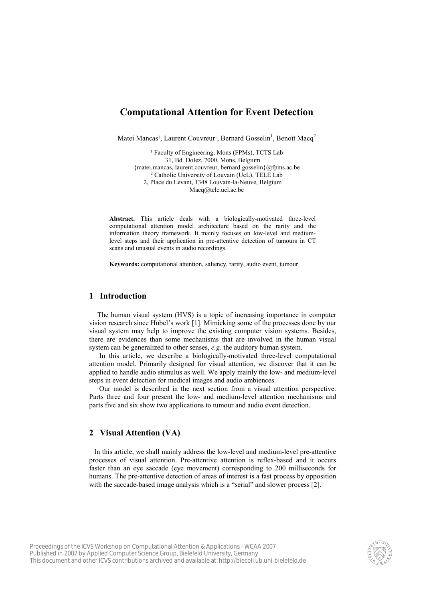# Computational Attention for Event Detection

Matei Mancas<sup>1</sup>, Laurent Couvreur<sup>1</sup>, Bernard Gosselin<sup>1</sup>, Benoît Macq<sup>2</sup>

<sup>1</sup> Faculty of Engineering, Mons (FPMs), TCTS Lab 31, Bd. Dolez, 7000, Mons, Belgium {matei.mancas, laurent.couvreur, bernard.gosselin}@fpms.ac.be 2 Catholic University of Louvain (UcL), TELE Lab 2, Place du Levant, 1348 Louvain-la-Neuve, Belgium Macq@tele.ucl.ac.be

Abstract. This article deals with a biologically-motivated three-level computational attention model architecture based on the rarity and the information theory framework. It mainly focuses on low-level and mediumlevel steps and their application in pre-attentive detection of tumours in CT scans and unusual events in audio recordings.

Keywords: computational attention, saliency, rarity, audio event, tumour

# 1 Introduction

The human visual system (HVS) is a topic of increasing importance in computer vision research since Hubel's work [1]. Mimicking some of the processes done by our visual system may help to improve the existing computer vision systems. Besides, there are evidences than some mechanisms that are involved in the human visual system can be generalized to other senses, e.g. the auditory human system.

In this article, we describe a biologically-motivated three-level computational attention model. Primarily designed for visual attention, we discover that it can be applied to handle audio stimulus as well. We apply mainly the low- and medium-level steps in event detection for medical images and audio ambiences.

Our model is described in the next section from a visual attention perspective. Parts three and four present the low- and medium-level attention mechanisms and parts five and six show two applications to tumour and audio event detection.

## 2 Visual Attention (VA)

In this article, we shall mainly address the low-level and medium-level pre-attentive processes of visual attention. Pre-attentive attention is reflex-based and it occurs faster than an eye saccade (eye movement) corresponding to 200 milliseconds for humans. The pre-attentive detection of areas of interest is a fast process by opposition with the saccade-based image analysis which is a "serial" and slower process [2].

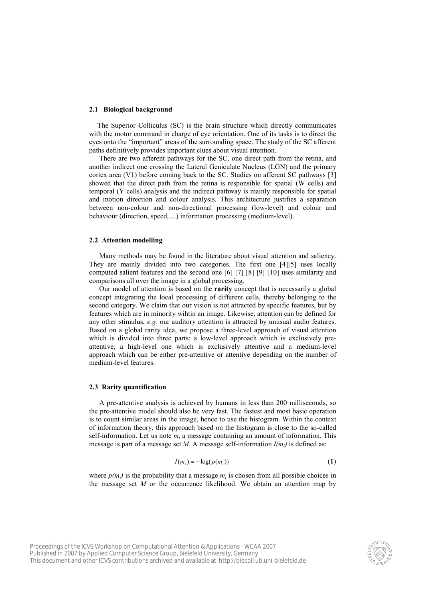#### 2.1 Biological background

The Superior Colliculus (SC) is the brain structure which directly communicates with the motor command in charge of eye orientation. One of its tasks is to direct the eyes onto the "important" areas of the surrounding space. The study of the SC afferent paths definitively provides important clues about visual attention.

There are two afferent pathways for the SC, one direct path from the retina, and another indirect one crossing the Lateral Geniculate Nucleus (LGN) and the primary cortex area (V1) before coming back to the SC. Studies on afferent SC pathways [3] showed that the direct path from the retina is responsible for spatial (W cells) and temporal (Y cells) analysis and the indirect pathway is mainly responsible for spatial and motion direction and colour analysis. This architecture justifies a separation between non-colour and non-directional processing (low-level) and colour and behaviour (direction, speed, ...) information processing (medium-level).

#### 2.2 Attention modelling

Many methods may be found in the literature about visual attention and saliency. They are mainly divided into two categories. The first one [4][5] uses locally computed salient features and the second one [6] [7] [8] [9] [10] uses similarity and comparisons all over the image in a global processing.

Our model of attention is based on the rarity concept that is necessarily a global concept integrating the local processing of different cells, thereby belonging to the second category. We claim that our vision is not attracted by specific features, but by features which are in minority wihtin an image. Likewise, attention can be defined for any other stimulus, e.g. our auditory attention is attracted by unusual audio features. Based on a global rarity idea, we propose a three-level approach of visual attention which is divided into three parts: a low-level approach which is exclusively preattentive, a high-level one which is exclusively attentive and a medium-level approach which can be either pre-attentive or attentive depending on the number of medium-level features.

## 2.3 Rarity quantification

A pre-attentive analysis is achieved by humans in less than 200 milliseconds, so the pre-attentive model should also be very fast. The fastest and most basic operation is to count similar areas in the image, hence to use the histogram. Within the context of information theory, this approach based on the histogram is close to the so-called self-information. Let us note  $m_i$  a message containing an amount of information. This message is part of a message set M. A message self-information  $I(m_i)$  is defined as:

$$
I(m_i) = -\log(p(m_i))\tag{1}
$$

where  $p(m_i)$  is the probability that a message  $m_i$  is chosen from all possible choices in the message set  $M$  or the occurrence likelihood. We obtain an attention map by

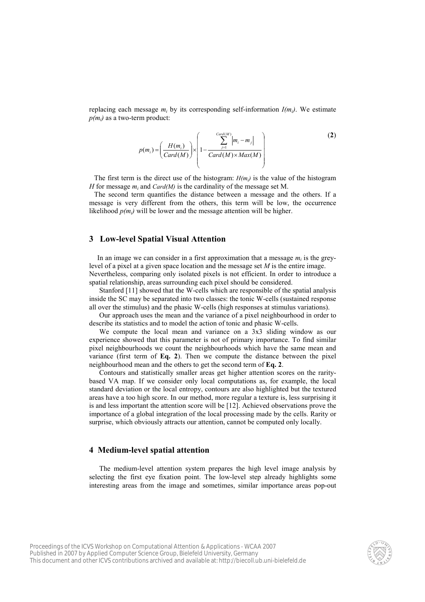replacing each message  $m_i$  by its corresponding self-information  $I(m_i)$ . We estimate  $p(m_i)$  as a two-term product:

$$
p(m_i) = \left(\frac{H(m_i)}{Card(M)}\right) \times \left(1 - \frac{\sum_{j=1}^{Card(M)} \left|m_i - m_j\right|}{Card(M) \times Max(M)}\right)
$$
(2)

The first term is the direct use of the histogram:  $H(m_i)$  is the value of the histogram *H* for message  $m_i$  and *Card(M)* is the cardinality of the message set M.

The second term quantifies the distance between a message and the others. If a message is very different from the others, this term will be low, the occurrence likelihood  $p(m_i)$  will be lower and the message attention will be higher.

# 3 Low-level Spatial Visual Attention

In an image we can consider in a first approximation that a message  $m_i$  is the greylevel of a pixel at a given space location and the message set M is the entire image. Nevertheless, comparing only isolated pixels is not efficient. In order to introduce a spatial relationship, areas surrounding each pixel should be considered.

Stanford [11] showed that the W-cells which are responsible of the spatial analysis inside the SC may be separated into two classes: the tonic W-cells (sustained response all over the stimulus) and the phasic W-cells (high responses at stimulus variations).

Our approach uses the mean and the variance of a pixel neighbourhood in order to describe its statistics and to model the action of tonic and phasic W-cells.

We compute the local mean and variance on a  $3x3$  sliding window as our experience showed that this parameter is not of primary importance. To find similar pixel neighbourhoods we count the neighbourhoods which have the same mean and variance (first term of Eq. 2). Then we compute the distance between the pixel neighbourhood mean and the others to get the second term of Eq. 2.

Contours and statistically smaller areas get higher attention scores on the raritybased VA map. If we consider only local computations as, for example, the local standard deviation or the local entropy, contours are also highlighted but the textured areas have a too high score. In our method, more regular a texture is, less surprising it is and less important the attention score will be [12]. Achieved observations prove the importance of a global integration of the local processing made by the cells. Rarity or surprise, which obviously attracts our attention, cannot be computed only locally.

# 4 Medium-level spatial attention

The medium-level attention system prepares the high level image analysis by selecting the first eye fixation point. The low-level step already highlights some interesting areas from the image and sometimes, similar importance areas pop-out

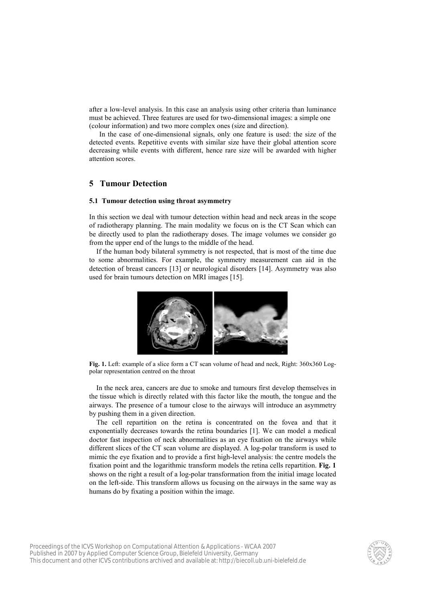after a low-level analysis. In this case an analysis using other criteria than luminance must be achieved. Three features are used for two-dimensional images: a simple one (colour information) and two more complex ones (size and direction).

In the case of one-dimensional signals, only one feature is used: the size of the detected events. Repetitive events with similar size have their global attention score decreasing while events with different, hence rare size will be awarded with higher attention scores.

# 5 Tumour Detection

## 5.1 Tumour detection using throat asymmetry

In this section we deal with tumour detection within head and neck areas in the scope of radiotherapy planning. The main modality we focus on is the CT Scan which can be directly used to plan the radiotherapy doses. The image volumes we consider go from the upper end of the lungs to the middle of the head.

If the human body bilateral symmetry is not respected, that is most of the time due to some abnormalities. For example, the symmetry measurement can aid in the detection of breast cancers [13] or neurological disorders [14]. Asymmetry was also used for brain tumours detection on MRI images [15].



Fig. 1. Left: example of a slice form a CT scan volume of head and neck, Right: 360x360 Logpolar representation centred on the throat

In the neck area, cancers are due to smoke and tumours first develop themselves in the tissue which is directly related with this factor like the mouth, the tongue and the airways. The presence of a tumour close to the airways will introduce an asymmetry by pushing them in a given direction.

The cell repartition on the retina is concentrated on the fovea and that it exponentially decreases towards the retina boundaries [1]. We can model a medical doctor fast inspection of neck abnormalities as an eye fixation on the airways while different slices of the CT scan volume are displayed. A log-polar transform is used to mimic the eye fixation and to provide a first high-level analysis: the centre models the fixation point and the logarithmic transform models the retina cells repartition. Fig. 1 shows on the right a result of a log-polar transformation from the initial image located on the left-side. This transform allows us focusing on the airways in the same way as humans do by fixating a position within the image.

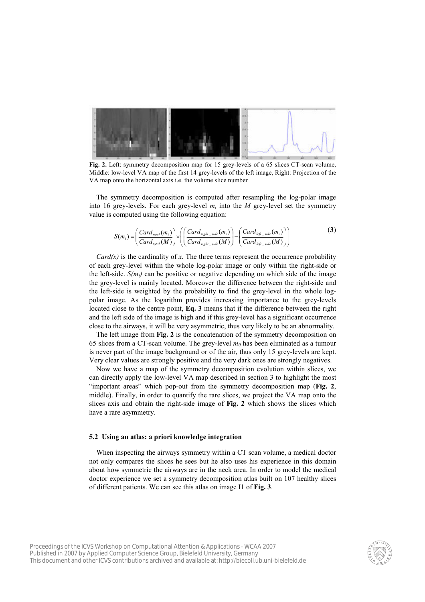

Fig. 2. Left: symmetry decomposition map for 15 grey-levels of a 65 slices CT-scan volume, Middle: low-level VA map of the first 14 grey-levels of the left image, Right: Projection of the VA map onto the horizontal axis i.e. the volume slice number

The symmetry decomposition is computed after resampling the log-polar image into 16 grey-levels. For each grey-level  $m_i$  into the M grey-level set the symmetry value is computed using the following equation:

$$
S(m_i) = \left(\frac{Card_{\text{total}}(m_i)}{Card_{\text{total}}(M)}\right) \times \left(\left(\frac{Card_{\text{right\_side}}(m_i)}{Card_{\text{right\_side}}(M)}\right) - \left(\frac{Card_{\text{left\_side}}(m_i)}{Card_{\text{left\_side}}(M)}\right)\right)
$$
(3)

 $Card(x)$  is the cardinality of x. The three terms represent the occurrence probability of each grey-level within the whole log-polar image or only within the right-side or the left-side.  $S(m_i)$  can be positive or negative depending on which side of the image the grey-level is mainly located. Moreover the difference between the right-side and the left-side is weighted by the probability to find the grey-level in the whole logpolar image. As the logarithm provides increasing importance to the grey-levels located close to the centre point, Eq. 3 means that if the difference between the right and the left side of the image is high and if this grey-level has a significant occurrence close to the airways, it will be very asymmetric, thus very likely to be an abnormality.

The left image from Fig. 2 is the concatenation of the symmetry decomposition on 65 slices from a CT-scan volume. The grey-level  $m_0$  has been eliminated as a tumour is never part of the image background or of the air, thus only 15 grey-levels are kept. Very clear values are strongly positive and the very dark ones are strongly negatives.

Now we have a map of the symmetry decomposition evolution within slices, we can directly apply the low-level VA map described in section 3 to highlight the most "important areas" which pop-out from the symmetry decomposition map (Fig. 2, middle). Finally, in order to quantify the rare slices, we project the VA map onto the slices axis and obtain the right-side image of Fig. 2 which shows the slices which have a rare asymmetry.

#### 5.2 Using an atlas: a priori knowledge integration

When inspecting the airways symmetry within a CT scan volume, a medical doctor not only compares the slices he sees but he also uses his experience in this domain about how symmetric the airways are in the neck area. In order to model the medical doctor experience we set a symmetry decomposition atlas built on 107 healthy slices of different patients. We can see this atlas on image I1 of Fig. 3.

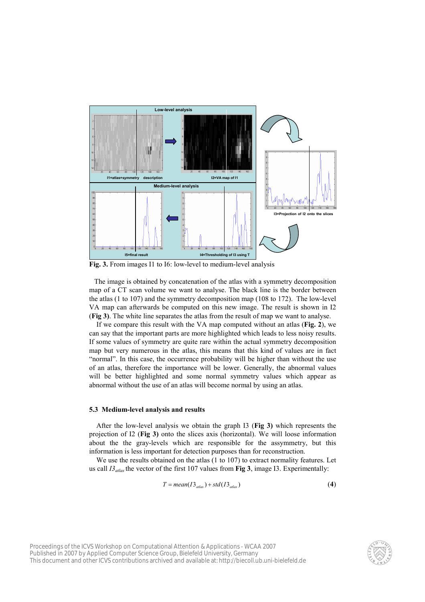

Fig. 3. From images I1 to I6: low-level to medium-level analysis

The image is obtained by concatenation of the atlas with a symmetry decomposition map of a CT scan volume we want to analyse. The black line is the border between the atlas (1 to 107) and the symmetry decomposition map (108 to 172). The low-level VA map can afterwards be computed on this new image. The result is shown in I2 (Fig 3). The white line separates the atlas from the result of map we want to analyse.

If we compare this result with the VA map computed without an atlas (Fig. 2), we can say that the important parts are more highlighted which leads to less noisy results. If some values of symmetry are quite rare within the actual symmetry decomposition map but very numerous in the atlas, this means that this kind of values are in fact "normal". In this case, the occurrence probability will be higher than without the use of an atlas, therefore the importance will be lower. Generally, the abnormal values will be better highlighted and some normal symmetry values which appear as abnormal without the use of an atlas will become normal by using an atlas.

#### 5.3 Medium-level analysis and results

After the low-level analysis we obtain the graph I3 (Fig 3) which represents the projection of I2 (Fig 3) onto the slices axis (horizontal). We will loose information about the the gray-levels which are responsible for the assymmetry, but this information is less important for detection purposes than for reconstruction.

We use the results obtained on the atlas (1 to 107) to extract normality features. Let us call  $I_3$ <sub>atlas</sub> the vector of the first 107 values from Fig 3, image I3. Experimentally:

$$
T = mean(I3_{\text{alias}}) + std(I3_{\text{alias}})
$$
\n(4)

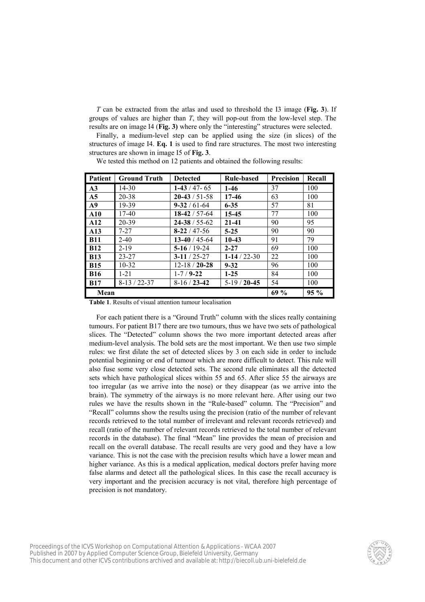$T$  can be extracted from the atlas and used to threshold the I3 image (Fig. 3). If groups of values are higher than  $T$ , they will pop-out from the low-level step. The results are on image I4 (Fig. 3) where only the "interesting" structures were selected.

Finally, a medium-level step can be applied using the size (in slices) of the structures of image  $I4$ . Eq. 1 is used to find rare structures. The most two interesting structures are shown in image I5 of Fig. 3.

We tested this method on 12 patients and obtained the following results:

| <b>Patient</b> | <b>Ground Truth</b> | <b>Detected</b>     | <b>Rule-based</b> | Precision | Recall |
|----------------|---------------------|---------------------|-------------------|-----------|--------|
| A <sub>3</sub> | 14-30               | $1-43/47-65$        | $1-46$            | 37        | 100    |
| A <sub>5</sub> | 20-38               | $20-43/51-58$       | 17-46             | 63        | 100    |
| A9             | 19-39               | $9 - 32 / 61 - 64$  | $6 - 35$          | 57        | 81     |
| ${\bf A10}$    | 17-40               | $18-42/57-64$       | 15-45             | 77        | 100    |
| A12            | 20-39               | $24 - 38 / 55 - 62$ | $21 - 41$         | 90        | 95     |
| A13            | $7 - 27$            | $8-22/47-56$        | $5 - 25$          | 90        | 90     |
| <b>B11</b>     | $2 - 40$            | $13-40/45-64$       | $10-43$           | 91        | 79     |
| <b>B12</b>     | $2 - 19$            | $5-16/19-24$        | $2 - 27$          | 69        | 100    |
| <b>B13</b>     | $23 - 27$           | $3-11/25-27$        | $1-14/22-30$      | 22        | 100    |
| <b>B15</b>     | $10 - 32$           | $12 - 18 / 20 - 28$ | $9 - 32$          | 96        | 100    |
| <b>B16</b>     | $1 - 21$            | $1 - 7 / 9 - 22$    | $1-25$            | 84        | 100    |
| <b>B17</b>     | $8-13/22-37$        | $8-16/23-42$        | $5-19/20-45$      | 54        | 100    |
| Mean           |                     | 69%                 | $95\%$            |           |        |

Table 1. Results of visual attention tumour localisation

For each patient there is a "Ground Truth" column with the slices really containing tumours. For patient B17 there are two tumours, thus we have two sets of pathological slices. The "Detected" column shows the two more important detected areas after medium-level analysis. The bold sets are the most important. We then use two simple rules: we first dilate the set of detected slices by 3 on each side in order to include potential beginning or end of tumour which are more difficult to detect. This rule will also fuse some very close detected sets. The second rule eliminates all the detected sets which have pathological slices within 55 and 65. After slice 55 the airways are too irregular (as we arrive into the nose) or they disappear (as we arrive into the brain). The symmetry of the airways is no more relevant here. After using our two rules we have the results shown in the "Rule-based" column. The "Precision" and "Recall" columns show the results using the precision (ratio of the number of relevant records retrieved to the total number of irrelevant and relevant records retrieved) and recall (ratio of the number of relevant records retrieved to the total number of relevant records in the database). The final "Mean" line provides the mean of precision and recall on the overall database. The recall results are very good and they have a low variance. This is not the case with the precision results which have a lower mean and higher variance. As this is a medical application, medical doctors prefer having more false alarms and detect all the pathological slices. In this case the recall accuracy is very important and the precision accuracy is not vital, therefore high percentage of precision is not mandatory.

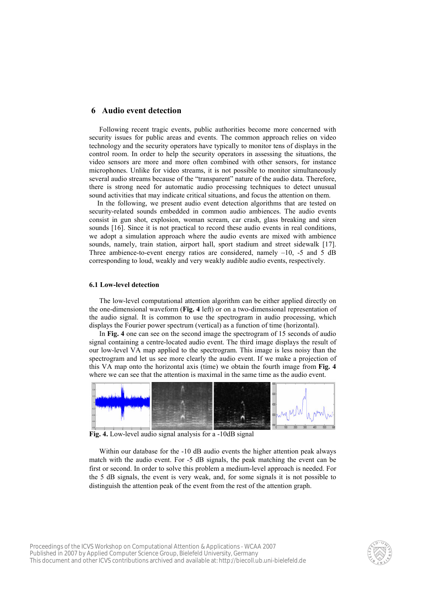## 6 Audio event detection

Following recent tragic events, public authorities become more concerned with security issues for public areas and events. The common approach relies on video technology and the security operators have typically to monitor tens of displays in the control room. In order to help the security operators in assessing the situations, the video sensors are more and more often combined with other sensors, for instance microphones. Unlike for video streams, it is not possible to monitor simultaneously several audio streams because of the "transparent" nature of the audio data. Therefore, there is strong need for automatic audio processing techniques to detect unusual sound activities that may indicate critical situations, and focus the attention on them.

In the following, we present audio event detection algorithms that are tested on security-related sounds embedded in common audio ambiences. The audio events consist in gun shot, explosion, woman scream, car crash, glass breaking and siren sounds [16]. Since it is not practical to record these audio events in real conditions, we adopt a simulation approach where the audio events are mixed with ambience sounds, namely, train station, airport hall, sport stadium and street sidewalk [17]. Three ambience-to-event energy ratios are considered, namely  $-10$ ,  $-5$  and  $5$  dB corresponding to loud, weakly and very weakly audible audio events, respectively.

## 6.1 Low-level detection

The low-level computational attention algorithm can be either applied directly on the one-dimensional waveform (Fig. 4 left) or on a two-dimensional representation of the audio signal. It is common to use the spectrogram in audio processing, which displays the Fourier power spectrum (vertical) as a function of time (horizontal).

In Fig. 4 one can see on the second image the spectrogram of 15 seconds of audio signal containing a centre-located audio event. The third image displays the result of our low-level VA map applied to the spectrogram. This image is less noisy than the spectrogram and let us see more clearly the audio event. If we make a projection of this VA map onto the horizontal axis (time) we obtain the fourth image from Fig. 4 where we can see that the attention is maximal in the same time as the audio event.



Fig. 4. Low-level audio signal analysis for a -10dB signal

Within our database for the -10 dB audio events the higher attention peak always match with the audio event. For -5 dB signals, the peak matching the event can be first or second. In order to solve this problem a medium-level approach is needed. For the 5 dB signals, the event is very weak, and, for some signals it is not possible to distinguish the attention peak of the event from the rest of the attention graph.

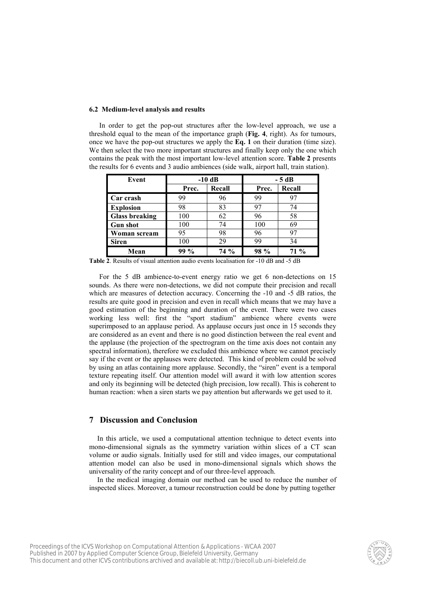#### 6.2 Medium-level analysis and results

In order to get the pop-out structures after the low-level approach, we use a threshold equal to the mean of the importance graph (Fig. 4, right). As for tumours, once we have the pop-out structures we apply the  $Eq. 1$  on their duration (time size). We then select the two more important structures and finally keep only the one which contains the peak with the most important low-level attention score. Table 2 presents the results for 6 events and 3 audio ambiences (side walk, airport hall, train station).

| Event                 | $-10$ dB |        | $-5dB$ |        |  |
|-----------------------|----------|--------|--------|--------|--|
|                       | Prec.    | Recall | Prec.  | Recall |  |
| Car crash             | 99       | 96     | 99     | 97     |  |
| <b>Explosion</b>      | 98       | 83     | 97     | 74     |  |
| <b>Glass breaking</b> | 100      | 62     | 96     | 58     |  |
| <b>Gun shot</b>       | 100      | 74     | 100    | 69     |  |
| Woman scream          | 95       | 98     | 96     | 97     |  |
| <b>Siren</b>          | 100      | 29     | 99     | 34     |  |
| Mean                  | $99\%$   | $74\%$ | 98 %   | 71 %   |  |

Table 2. Results of visual attention audio events localisation for -10 dB and -5 dB

For the 5 dB ambience-to-event energy ratio we get 6 non-detections on 15 sounds. As there were non-detections, we did not compute their precision and recall which are measures of detection accuracy. Concerning the -10 and -5 dB ratios, the results are quite good in precision and even in recall which means that we may have a good estimation of the beginning and duration of the event. There were two cases working less well: first the "sport stadium" ambience where events were superimposed to an applause period. As applause occurs just once in 15 seconds they are considered as an event and there is no good distinction between the real event and the applause (the projection of the spectrogram on the time axis does not contain any spectral information), therefore we excluded this ambience where we cannot precisely say if the event or the applauses were detected. This kind of problem could be solved by using an atlas containing more applause. Secondly, the "siren" event is a temporal texture repeating itself. Our attention model will award it with low attention scores and only its beginning will be detected (high precision, low recall). This is coherent to human reaction: when a siren starts we pay attention but afterwards we get used to it.

# 7 Discussion and Conclusion

In this article, we used a computational attention technique to detect events into mono-dimensional signals as the symmetry variation within slices of a CT scan volume or audio signals. Initially used for still and video images, our computational attention model can also be used in mono-dimensional signals which shows the universality of the rarity concept and of our three-level approach.

In the medical imaging domain our method can be used to reduce the number of inspected slices. Moreover, a tumour reconstruction could be done by putting together